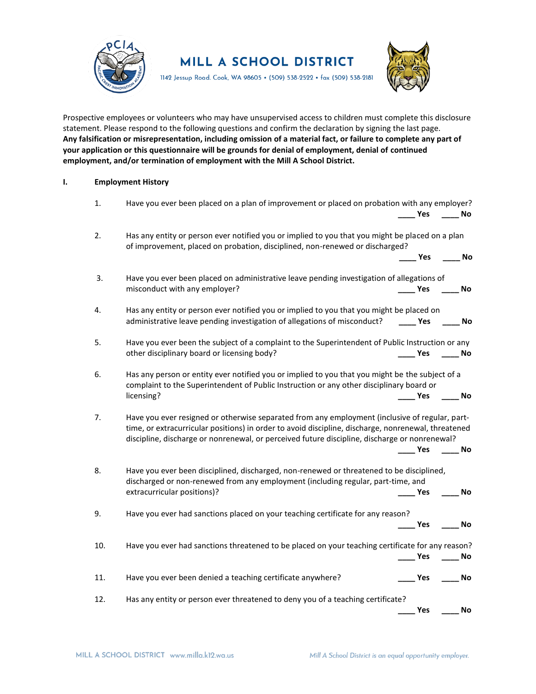

**MILL A SCHOOL DISTRICT** 

1142 Jessup Road. Cook, WA 98605 • (509) 538-2522 • fax (509) 538-2181



Prospective employees or volunteers who may have unsupervised access to children must complete this disclosure statement. Please respond to the following questions and confirm the declaration by signing the last page. **Any falsification or misrepresentation, including omission of a material fact, or failure to complete any part of your application or this questionnaire will be grounds for denial of employment, denial of continued employment, and/or termination of employment with the Mill A School District.**

## **I. Employment History**

| 1.  | Have you ever been placed on a plan of improvement or placed on probation with any employer?                                                                                                                                                                                                           |                          |            |  |
|-----|--------------------------------------------------------------------------------------------------------------------------------------------------------------------------------------------------------------------------------------------------------------------------------------------------------|--------------------------|------------|--|
|     |                                                                                                                                                                                                                                                                                                        | <b>Yes</b>               | No         |  |
| 2.  | Has any entity or person ever notified you or implied to you that you might be placed on a plan<br>of improvement, placed on probation, disciplined, non-renewed or discharged?                                                                                                                        |                          |            |  |
|     |                                                                                                                                                                                                                                                                                                        | $\mathsf{\_}$ Yes        | No         |  |
| 3.  | Have you ever been placed on administrative leave pending investigation of allegations of                                                                                                                                                                                                              |                          |            |  |
|     | misconduct with any employer?                                                                                                                                                                                                                                                                          | Yes                      | No         |  |
| 4.  | Has any entity or person ever notified you or implied to you that you might be placed on                                                                                                                                                                                                               |                          |            |  |
|     | administrative leave pending investigation of allegations of misconduct?                                                                                                                                                                                                                               | <b>Paragona Yes</b>      | No         |  |
| 5.  | Have you ever been the subject of a complaint to the Superintendent of Public Instruction or any                                                                                                                                                                                                       |                          |            |  |
|     | other disciplinary board or licensing body?                                                                                                                                                                                                                                                            | <b>Parage Yes</b>        | <b>No.</b> |  |
| 6.  | Has any person or entity ever notified you or implied to you that you might be the subject of a<br>complaint to the Superintendent of Public Instruction or any other disciplinary board or                                                                                                            |                          |            |  |
|     | licensing?                                                                                                                                                                                                                                                                                             | Yes                      | No         |  |
| 7.  | Have you ever resigned or otherwise separated from any employment (inclusive of regular, part-<br>time, or extracurricular positions) in order to avoid discipline, discharge, nonrenewal, threatened<br>discipline, discharge or nonrenewal, or perceived future discipline, discharge or nonrenewal? | Yes                      | No         |  |
| 8.  | Have you ever been disciplined, discharged, non-renewed or threatened to be disciplined,                                                                                                                                                                                                               |                          |            |  |
|     | discharged or non-renewed from any employment (including regular, part-time, and                                                                                                                                                                                                                       |                          |            |  |
|     | extracurricular positions)?                                                                                                                                                                                                                                                                            | $\rule{1em}{0.15mm}$ Yes | No         |  |
| 9.  | Have you ever had sanctions placed on your teaching certificate for any reason?                                                                                                                                                                                                                        |                          |            |  |
|     |                                                                                                                                                                                                                                                                                                        | Nes                      | No         |  |
| 10. | Have you ever had sanctions threatened to be placed on your teaching certificate for any reason?                                                                                                                                                                                                       | Yes                      | No         |  |
|     |                                                                                                                                                                                                                                                                                                        |                          |            |  |
| 11. | Have you ever been denied a teaching certificate anywhere?                                                                                                                                                                                                                                             | Yes                      | <b>No</b>  |  |
| 12. | Has any entity or person ever threatened to deny you of a teaching certificate?                                                                                                                                                                                                                        |                          |            |  |
|     |                                                                                                                                                                                                                                                                                                        | Yes                      | No         |  |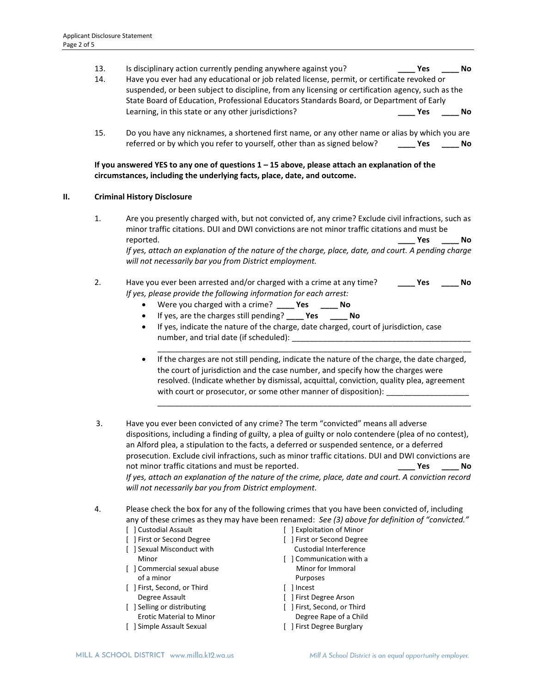- 13. Is disciplinary action currently pending anywhere against you? **\_\_\_\_ Yes \_\_\_\_ No**
- 14. Have you ever had any educational or job related license, permit, or certificate revoked or suspended, or been subject to discipline, from any licensing or certification agency, such as the State Board of Education, Professional Educators Standards Board, or Department of Early Learning, in this state or any other jurisdictions? **\_\_\_\_ Yes \_\_\_\_ No**
- 15. Do you have any nicknames, a shortened first name, or any other name or alias by which you are referred or by which you refer to yourself, other than as signed below? **\_\_\_\_ Yes \_\_\_\_ No**

## **If you answered YES to any one of questions 1 – 15 above, please attach an explanation of the circumstances, including the underlying facts, place, date, and outcome.**

## **II. Criminal History Disclosure**

1. Are you presently charged with, but not convicted of, any crime? Exclude civil infractions, such as minor traffic citations. DUI and DWI convictions are not minor traffic citations and must be reported. **\_\_\_\_ Yes \_\_\_\_ No**

*If yes, attach an explanation of the nature of the charge, place, date, and court. A pending charge will not necessarily bar you from District employment.*

- 2. Have you ever been arrested and/or charged with a crime at any time? **\_\_\_\_ Yes \_\_\_\_ No** *If yes, please provide the following information for each arrest:* 
	- Were you charged with a crime? **\_\_\_\_ Yes \_\_\_\_ No**
	- If yes, are the charges still pending? **\_\_\_\_ Yes \_\_\_\_ No**
	- If yes, indicate the nature of the charge, date charged, court of jurisdiction, case number, and trial date (if scheduled): \_\_\_\_\_\_\_\_\_\_\_\_\_\_\_\_\_\_\_\_\_\_\_\_\_\_\_\_\_\_\_\_\_\_\_\_\_\_\_\_\_
	- If the charges are not still pending, indicate the nature of the charge, the date charged, the court of jurisdiction and the case number, and specify how the charges were resolved. (Indicate whether by dismissal, acquittal, conviction, quality plea, agreement with court or prosecutor, or some other manner of disposition): \_\_\_\_\_\_\_\_\_\_\_\_\_\_\_\_

\_\_\_\_\_\_\_\_\_\_\_\_\_\_\_\_\_\_\_\_\_\_\_\_\_\_\_\_\_\_\_\_\_\_\_\_\_\_\_\_\_\_\_\_\_\_\_\_\_\_\_\_\_\_\_\_\_\_\_\_\_\_\_\_\_\_\_\_\_\_\_\_

\_\_\_\_\_\_\_\_\_\_\_\_\_\_\_\_\_\_\_\_\_\_\_\_\_\_\_\_\_\_\_\_\_\_\_\_\_\_\_\_\_\_\_\_\_\_\_\_\_\_\_\_\_\_\_\_\_\_\_\_\_\_\_\_\_\_\_\_\_\_\_\_

- 3. Have you ever been convicted of any crime? The term "convicted" means all adverse dispositions, including a finding of guilty, a plea of guilty or nolo contendere (plea of no contest), an Alford plea, a stipulation to the facts, a deferred or suspended sentence, or a deferred prosecution. Exclude civil infractions, such as minor traffic citations. DUI and DWI convictions are not minor traffic citations and must be reported. **\_\_\_\_ Yes \_\_\_\_ No** *If yes, attach an explanation of the nature of the crime, place, date and court. A conviction record will not necessarily bar you from District employment.*
- 4. Please check the box for any of the following crimes that you have been convicted of, including any of these crimes as they may have been renamed: *See (3) above for definition of "convicted."*
	- [ ] Custodial Assault
	- [ ] First or Second Degree
	- [ ] Sexual Misconduct with Minor
	- [ ] Commercial sexual abuse of a minor
	- [ ] First, Second, or Third Degree Assault
	- [ ] Selling or distributing Erotic Material to Minor
	- [ ] Simple Assault Sexual
- [ ] Exploitation of Minor
- [ ] First or Second Degree
- Custodial Interference
- [ ] Communication with a Minor for Immoral Purposes
- [ ] Incest
- [ ] First Degree Arson
- [ ] First, Second, or Third
- Degree Rape of a Child [ ] First Degree Burglary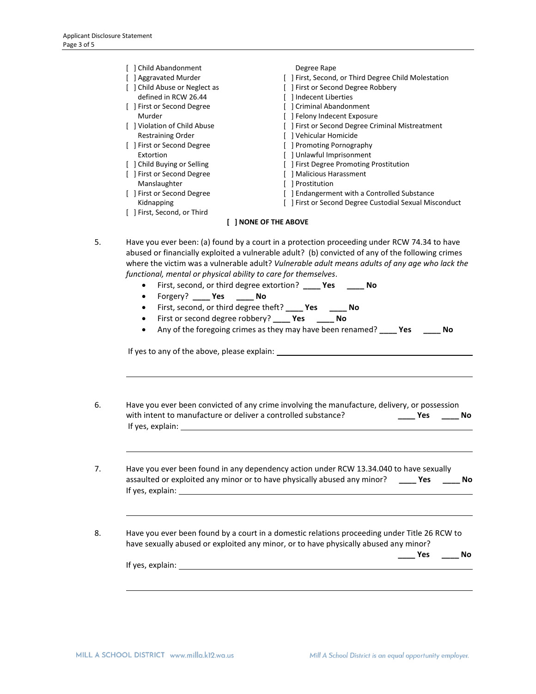|    | [ ] Child Abandonment<br>[ ] Aggravated Murder<br>[ ] Child Abuse or Neglect as<br>defined in RCW 26.44<br>[ ] First or Second Degree<br>Murder<br>[ ] Violation of Child Abuse<br><b>Restraining Order</b><br>[ ] First or Second Degree<br>Extortion<br>[ ] Child Buying or Selling<br>[ ] First or Second Degree<br>Manslaughter<br>[ ] First or Second Degree<br>Kidnapping<br>[ ] First, Second, or Third | Degree Rape<br>[ ] First, Second, or Third Degree Child Molestation<br>[ ] First or Second Degree Robbery<br>[ ] Indecent Liberties<br>[ ] Criminal Abandonment<br>[ ] Felony Indecent Exposure<br>[ ] First or Second Degree Criminal Mistreatment<br>[ ] Vehicular Homicide<br>[ ] Promoting Pornography<br>[ ] Unlawful Imprisonment<br>[ ] First Degree Promoting Prostitution<br>[ ] Malicious Harassment<br>[ ] Prostitution<br>[ ] Endangerment with a Controlled Substance<br>[ ] First or Second Degree Custodial Sexual Misconduct<br>[ ] NONE OF THE ABOVE                                                                                      |  |
|----|----------------------------------------------------------------------------------------------------------------------------------------------------------------------------------------------------------------------------------------------------------------------------------------------------------------------------------------------------------------------------------------------------------------|------------------------------------------------------------------------------------------------------------------------------------------------------------------------------------------------------------------------------------------------------------------------------------------------------------------------------------------------------------------------------------------------------------------------------------------------------------------------------------------------------------------------------------------------------------------------------------------------------------------------------------------------------------|--|
|    |                                                                                                                                                                                                                                                                                                                                                                                                                |                                                                                                                                                                                                                                                                                                                                                                                                                                                                                                                                                                                                                                                            |  |
| 5. | $\bullet$<br>Forgery? _____ Yes<br>$\bullet$<br>$\bullet$<br>$\bullet$<br>$\bullet$                                                                                                                                                                                                                                                                                                                            | Have you ever been: (a) found by a court in a protection proceeding under RCW 74.34 to have<br>abused or financially exploited a vulnerable adult? (b) convicted of any of the following crimes<br>where the victim was a vulnerable adult? Vulnerable adult means adults of any age who lack the<br>functional, mental or physical ability to care for themselves.<br>First, second, or third degree extortion? _____ Yes<br><b>No</b><br>$\_\_$ No<br>First, second, or third degree theft? _____ Yes ______ No<br>First or second degree robbery? _____ Yes<br><b>No.</b><br>Any of the foregoing crimes as they may have been renamed? _____ Yes<br>No |  |
|    |                                                                                                                                                                                                                                                                                                                                                                                                                |                                                                                                                                                                                                                                                                                                                                                                                                                                                                                                                                                                                                                                                            |  |
| 6. | with intent to manufacture or deliver a controlled substance?<br>If yes, explain:                                                                                                                                                                                                                                                                                                                              | Have you ever been convicted of any crime involving the manufacture, delivery, or possession<br>$\rule{1em}{0.15mm}$ Yes<br>No                                                                                                                                                                                                                                                                                                                                                                                                                                                                                                                             |  |
| 7. | If yes, explain:                                                                                                                                                                                                                                                                                                                                                                                               | Have you ever been found in any dependency action under RCW 13.34.040 to have sexually<br>assaulted or exploited any minor or to have physically abused any minor?<br>$\rule{1em}{0.15mm}$ Yes<br>No                                                                                                                                                                                                                                                                                                                                                                                                                                                       |  |
| 8. |                                                                                                                                                                                                                                                                                                                                                                                                                | Have you ever been found by a court in a domestic relations proceeding under Title 26 RCW to<br>have sexually abused or exploited any minor, or to have physically abused any minor?<br>$\rule{1em}{0.15mm}$ Yes<br>No                                                                                                                                                                                                                                                                                                                                                                                                                                     |  |
|    | If yes, explain:                                                                                                                                                                                                                                                                                                                                                                                               |                                                                                                                                                                                                                                                                                                                                                                                                                                                                                                                                                                                                                                                            |  |
|    |                                                                                                                                                                                                                                                                                                                                                                                                                |                                                                                                                                                                                                                                                                                                                                                                                                                                                                                                                                                                                                                                                            |  |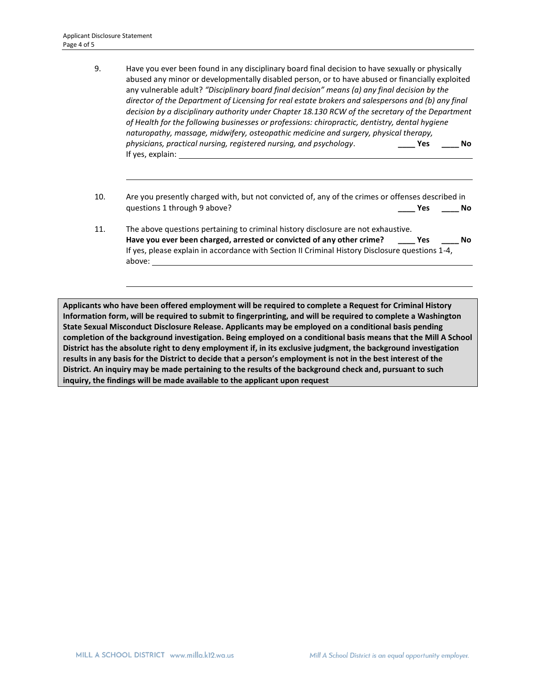- 9. Have you ever been found in any disciplinary board final decision to have sexually or physically abused any minor or developmentally disabled person, or to have abused or financially exploited any vulnerable adult? *"Disciplinary board final decision" means (a) any final decision by the director of the Department of Licensing for real estate brokers and salespersons and (b) any final decision by a disciplinary authority under Chapter 18.130 RCW of the secretary of the Department of Health for the following businesses or professions: chiropractic, dentistry, dental hygiene naturopathy, massage, midwifery, osteopathic medicine and surgery, physical therapy, physicians, practical nursing, registered nursing, and psychology*. **\_\_\_\_ Yes \_\_\_\_ No** If yes, explain:
- 10. Are you presently charged with, but not convicted of, any of the crimes or offenses described in questions 1 through 9 above? **\_\_\_\_ Yes \_\_\_\_ No**
- 11. The above questions pertaining to criminal history disclosure are not exhaustive. **Have you ever been charged, arrested or convicted of any other crime? \_\_\_\_ Yes \_\_\_\_ No** If yes, please explain in accordance with Section II Criminal History Disclosure questions 1-4, above:

**Applicants who have been offered employment will be required to complete a Request for Criminal History Information form, will be required to submit to fingerprinting, and will be required to complete a Washington State Sexual Misconduct Disclosure Release. Applicants may be employed on a conditional basis pending completion of the background investigation. Being employed on a conditional basis means that the Mill A School District has the absolute right to deny employment if, in its exclusive judgment, the background investigation results in any basis for the District to decide that a person's employment is not in the best interest of the District. An inquiry may be made pertaining to the results of the background check and, pursuant to such inquiry, the findings will be made available to the applicant upon request**